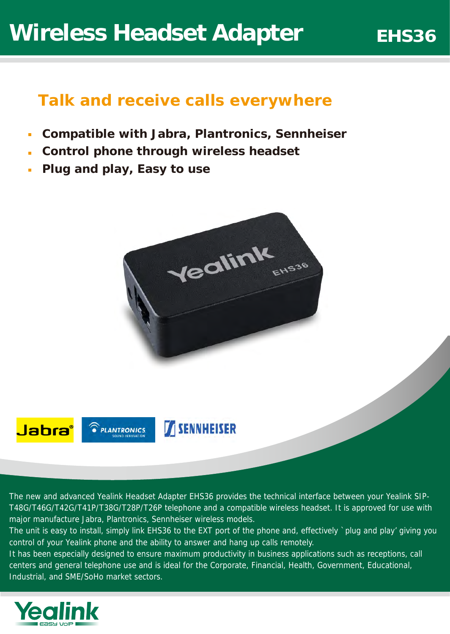## *Talk and receive calls everywhere*

- **Compatible with Jabra, Plantronics, Sennheiser**
- **Control phone through wireless headset**
- **Plug and play, Easy to use**







**SENNHEISER** 

The new and advanced Yealink Headset Adapter EHS36 provides the technical interface between your Yealink SIP-T48G/T46G/T42G/T41P/T38G/T28P/T26P telephone and a compatible wireless headset. It is approved for use with major manufacture Jabra, Plantronics, Sennheiser wireless models.

The unit is easy to install, simply link EHS36 to the EXT port of the phone and, effectively `plug and play' giving you control of your Yealink phone and the ability to answer and hang up calls remotely.

It has been especially designed to ensure maximum productivity in business applications such as receptions, call centers and general telephone use and is ideal for the Corporate, Financial, Health, Government, Educational, Industrial, and SME/SoHo market sectors.